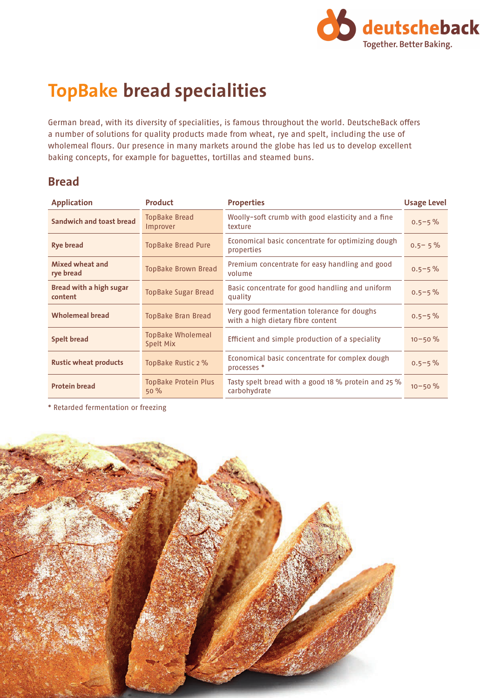

# **TopBake bread specialities**

German bread, with its diversity of specialities, is famous throughout the world. DeutscheBack offers a number of solutions for quality products made from wheat, rye and spelt, including the use of wholemeal flours. Our presence in many markets around the globe has led us to develop excellent baking concepts, for example for baguettes, tortillas and steamed buns.

#### **Bread**

| <b>Application</b>                        | <b>Product</b>                        | <b>Properties</b>                                                                | <b>Usage Level</b> |
|-------------------------------------------|---------------------------------------|----------------------------------------------------------------------------------|--------------------|
| <b>Sandwich and toast bread</b>           | <b>TopBake Bread</b><br>Improver      | Woolly-soft crumb with good elasticity and a fine<br>texture                     | $0.5 - 5\%$        |
| Rye bread                                 | <b>TopBake Bread Pure</b>             | Economical basic concentrate for optimizing dough<br>properties                  | $0.5 - 5%$         |
| Mixed wheat and<br>rye bread              | <b>TopBake Brown Bread</b>            | Premium concentrate for easy handling and good<br>volume                         | $0.5 - 5\%$        |
| <b>Bread with a high sugar</b><br>content | <b>TopBake Sugar Bread</b>            | Basic concentrate for good handling and uniform<br>quality                       | $0.5 - 5\%$        |
| <b>Wholemeal bread</b>                    | <b>TopBake Bran Bread</b>             | Very good fermentation tolerance for doughs<br>with a high dietary fibre content | $0.5 - 5\%$        |
| <b>Spelt bread</b>                        | <b>TopBake Wholemeal</b><br>Spelt Mix | Efficient and simple production of a speciality                                  | $10 - 50 \%$       |
| <b>Rustic wheat products</b>              | TopBake Rustic 2 %                    | Economical basic concentrate for complex dough<br>processes *                    | $0.5 - 5\%$        |
| <b>Protein bread</b>                      | <b>TopBake Protein Plus</b><br>50%    | Tasty spelt bread with a good 18 % protein and 25 %<br>carbohydrate              | $10 - 50 \%$       |

\* Retarded fermentation or freezing

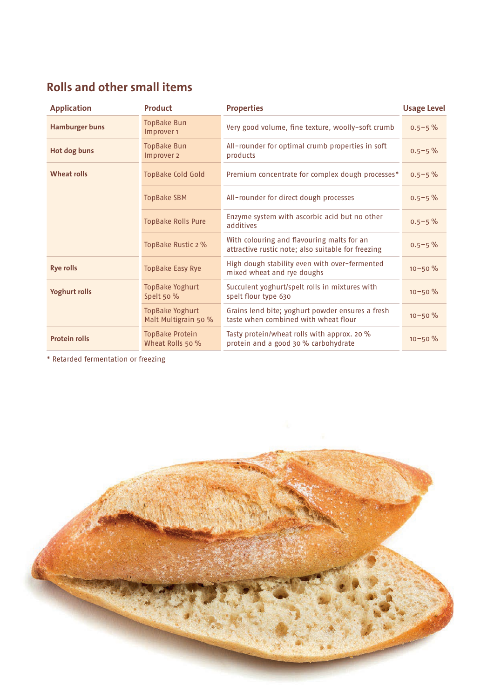## **Rolls and other small items**

| <b>Application</b>    | Product                                        | <b>Properties</b>                                                                                | <b>Usage Level</b> |
|-----------------------|------------------------------------------------|--------------------------------------------------------------------------------------------------|--------------------|
| <b>Hamburger buns</b> | <b>TopBake Bun</b><br>Improver 1               | Very good volume, fine texture, woolly-soft crumb                                                | $0.5 - 5\%$        |
| Hot dog buns          | <b>TopBake Bun</b><br>Improver 2               | All-rounder for optimal crumb properties in soft<br>products                                     | $0.5 - 5\%$        |
| <b>Wheat rolls</b>    | <b>TopBake Cold Gold</b>                       | Premium concentrate for complex dough processes*                                                 | $0.5 - 5\%$        |
|                       | <b>TopBake SBM</b>                             | All-rounder for direct dough processes                                                           | $0.5 - 5\%$        |
|                       | <b>TopBake Rolls Pure</b>                      | Enzyme system with ascorbic acid but no other<br>additives                                       | $0.5 - 5%$         |
|                       | TopBake Rustic 2 %                             | With colouring and flavouring malts for an<br>attractive rustic note; also suitable for freezing | $0.5 - 5\%$        |
| <b>Rye rolls</b>      | <b>TopBake Easy Rye</b>                        | High dough stability even with over-fermented<br>mixed wheat and rye doughs                      | $10 - 50 \%$       |
| <b>Yoghurt rolls</b>  | <b>TopBake Yoghurt</b><br>Spelt 50 %           | Succulent yoghurt/spelt rolls in mixtures with<br>spelt flour type 630                           | $10 - 50 \%$       |
|                       | <b>TopBake Yoghurt</b><br>Malt Multigrain 50 % | Grains lend bite; yoghurt powder ensures a fresh<br>taste when combined with wheat flour         | $10 - 50 \%$       |
| <b>Protein rolls</b>  | TopBake Protein<br>Wheat Rolls 50 %            | Tasty protein/wheat rolls with approx. 20 %<br>protein and a good 30 % carbohydrate              | $10 - 50 \%$       |

\* Retarded fermentation or freezing

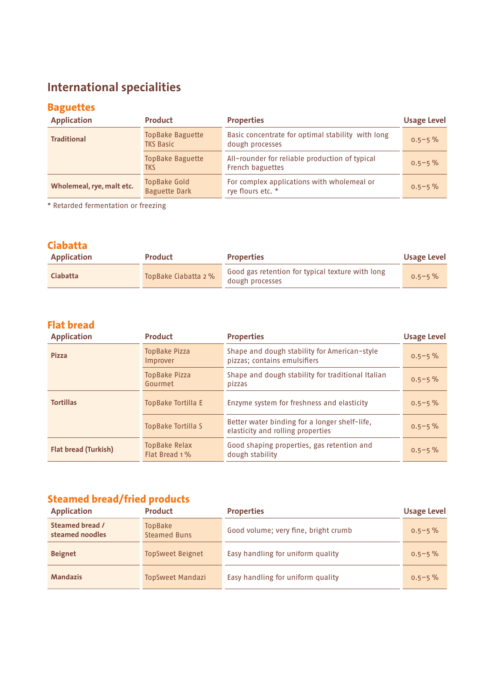## **International specialities**

### **Baguettes**

| <b>Application</b>        | Product                                     | <b>Properties</b>                                                    | <b>Usage Level</b> |
|---------------------------|---------------------------------------------|----------------------------------------------------------------------|--------------------|
| <b>Traditional</b>        | <b>TopBake Baguette</b><br><b>TKS Basic</b> | Basic concentrate for optimal stability with long<br>dough processes | $0.5 - 5\%$        |
|                           | <b>TopBake Baguette</b><br>tks              | All-rounder for reliable production of typical<br>French baguettes   | $0.5 - 5\%$        |
| Wholemeal, rye, malt etc. | TopBake Gold<br><b>Baguette Dark</b>        | For complex applications with wholemeal or<br>rye flours etc. *      | $0.5 - 5\%$        |

\* Retarded fermentation or freezing

#### **Ciabatta**

| <b>Application</b> | <b>Product</b>       | <b>Properties</b>                                                   | <b>Usage Level</b> |
|--------------------|----------------------|---------------------------------------------------------------------|--------------------|
| <b>Ciabatta</b>    | TopBake Ciabatta 2 % | Good gas retention for typical texture with long<br>dough processes | $0.5 - 5\%$        |

#### **Flat bread**

| <b>Application</b>          | <b>Product</b>                   | <b>Properties</b>                                                                  | <b>Usage Level</b> |
|-----------------------------|----------------------------------|------------------------------------------------------------------------------------|--------------------|
| <b>Pizza</b>                | <b>TopBake Pizza</b><br>Improver | Shape and dough stability for American-style<br>pizzas; contains emulsifiers       | $0.5 - 5%$         |
|                             | <b>TopBake Pizza</b><br>Gourmet  | Shape and dough stability for traditional Italian<br>pizzas                        | $0.5 - 5\%$        |
| <b>Tortillas</b>            | TopBake Tortilla E               | Enzyme system for freshness and elasticity                                         | $0.5 - 5\%$        |
|                             | TopBake Tortilla S               | Better water binding for a longer shelf-life,<br>elasticity and rolling properties | $0.5 - 5\%$        |
| <b>Flat bread (Turkish)</b> | TopBake Relax<br>Flat Bread 1 %  | Good shaping properties, gas retention and<br>dough stability                      | $0.5 - 5\%$        |

### **Steamed bread/fried products**

| <b>Application</b>                 | Product                               | <b>Properties</b>                    | <b>Usage Level</b> |
|------------------------------------|---------------------------------------|--------------------------------------|--------------------|
| Steamed bread /<br>steamed noodles | <b>TopBake</b><br><b>Steamed Buns</b> | Good volume; very fine, bright crumb | $0.5 - 5\%$        |
| <b>Beignet</b>                     | <b>TopSweet Beignet</b>               | Easy handling for uniform quality    | $0.5 - 5\%$        |
| <b>Mandazis</b>                    | <b>TopSweet Mandazi</b>               | Easy handling for uniform quality    | $0.5 - 5\%$        |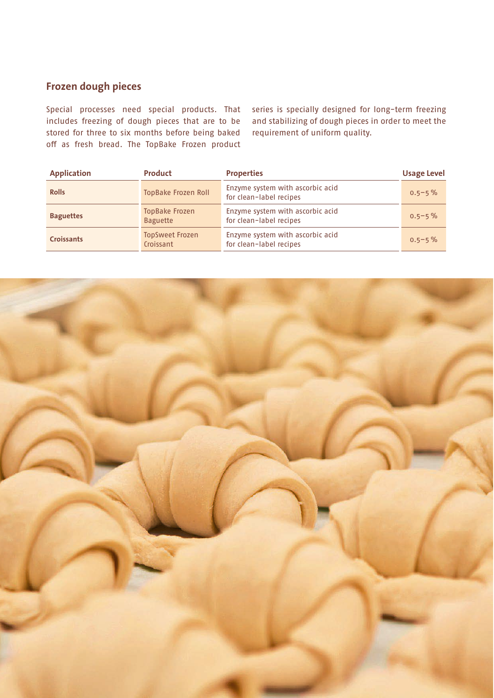#### **Frozen dough pieces**

Special processes need special products. That includes freezing of dough pieces that are to be stored for three to six months before being baked off as fresh bread. The TopBake Frozen product

series is specially designed for long-term freezing and stabilizing of dough pieces in order to meet the requirement of uniform quality.

| <b>Application</b> | Product                                  | <b>Properties</b>                                           | <b>Usage Level</b> |
|--------------------|------------------------------------------|-------------------------------------------------------------|--------------------|
| <b>Rolls</b>       | <b>TopBake Frozen Roll</b>               | Enzyme system with ascorbic acid<br>for clean-label recipes | $0.5 - 5\%$        |
| <b>Baguettes</b>   | <b>TopBake Frozen</b><br><b>Baguette</b> | Enzyme system with ascorbic acid<br>for clean-label recipes | $0.5 - 5\%$        |
| <b>Croissants</b>  | <b>TopSweet Frozen</b><br>Croissant      | Enzyme system with ascorbic acid<br>for clean-label recipes | $0.5 - 5\%$        |